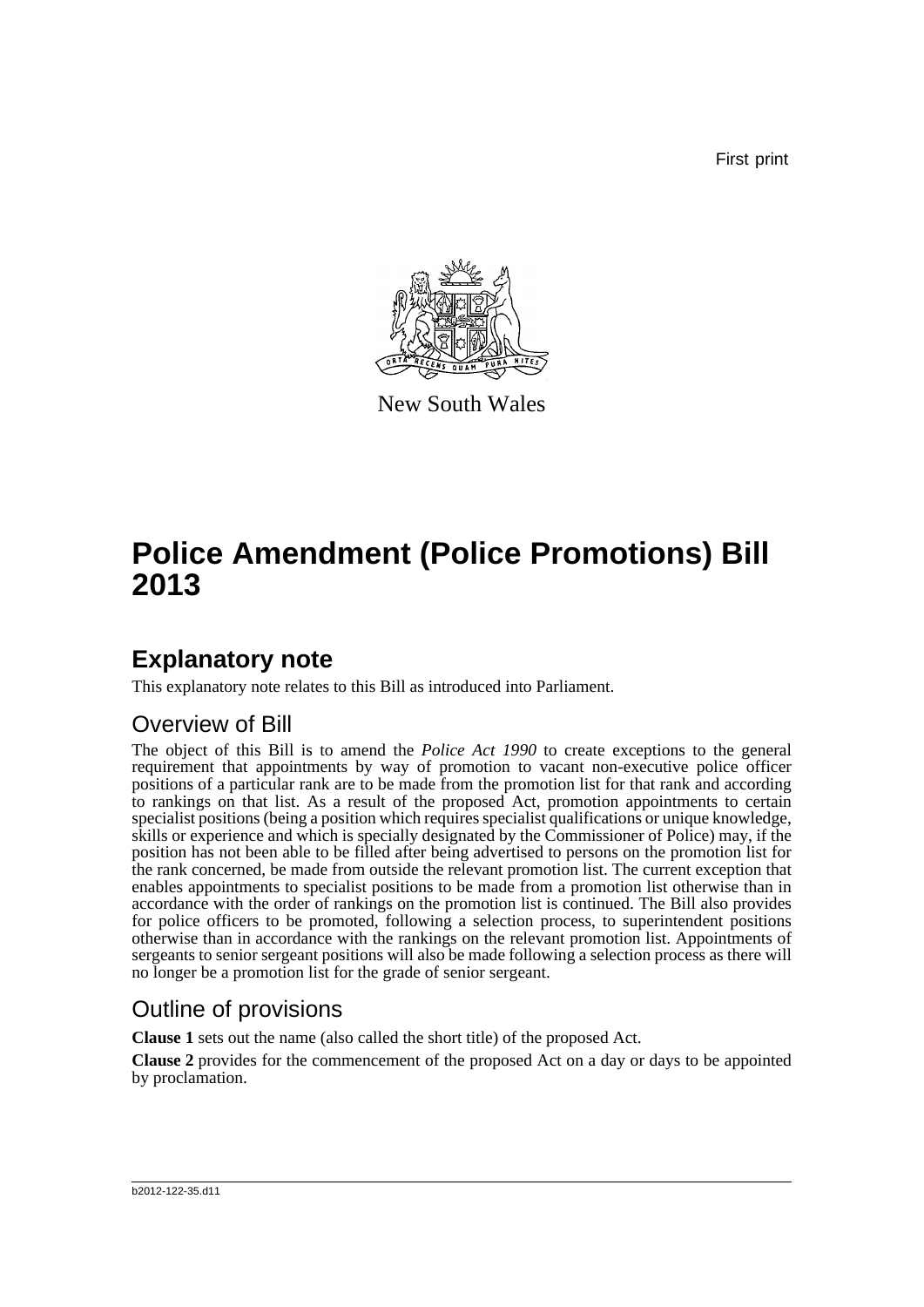First print



New South Wales

# **Police Amendment (Police Promotions) Bill 2013**

### **Explanatory note**

This explanatory note relates to this Bill as introduced into Parliament.

### Overview of Bill

The object of this Bill is to amend the *Police Act 1990* to create exceptions to the general requirement that appointments by way of promotion to vacant non-executive police officer positions of a particular rank are to be made from the promotion list for that rank and according to rankings on that list. As a result of the proposed Act, promotion appointments to certain specialist positions (being a position which requires specialist qualifications or unique knowledge, skills or experience and which is specially designated by the Commissioner of Police) may, if the position has not been able to be filled after being advertised to persons on the promotion list for the rank concerned, be made from outside the relevant promotion list. The current exception that enables appointments to specialist positions to be made from a promotion list otherwise than in accordance with the order of rankings on the promotion list is continued. The Bill also provides for police officers to be promoted, following a selection process, to superintendent positions otherwise than in accordance with the rankings on the relevant promotion list. Appointments of sergeants to senior sergeant positions will also be made following a selection process as there will no longer be a promotion list for the grade of senior sergeant.

### Outline of provisions

**Clause 1** sets out the name (also called the short title) of the proposed Act.

**Clause 2** provides for the commencement of the proposed Act on a day or days to be appointed by proclamation.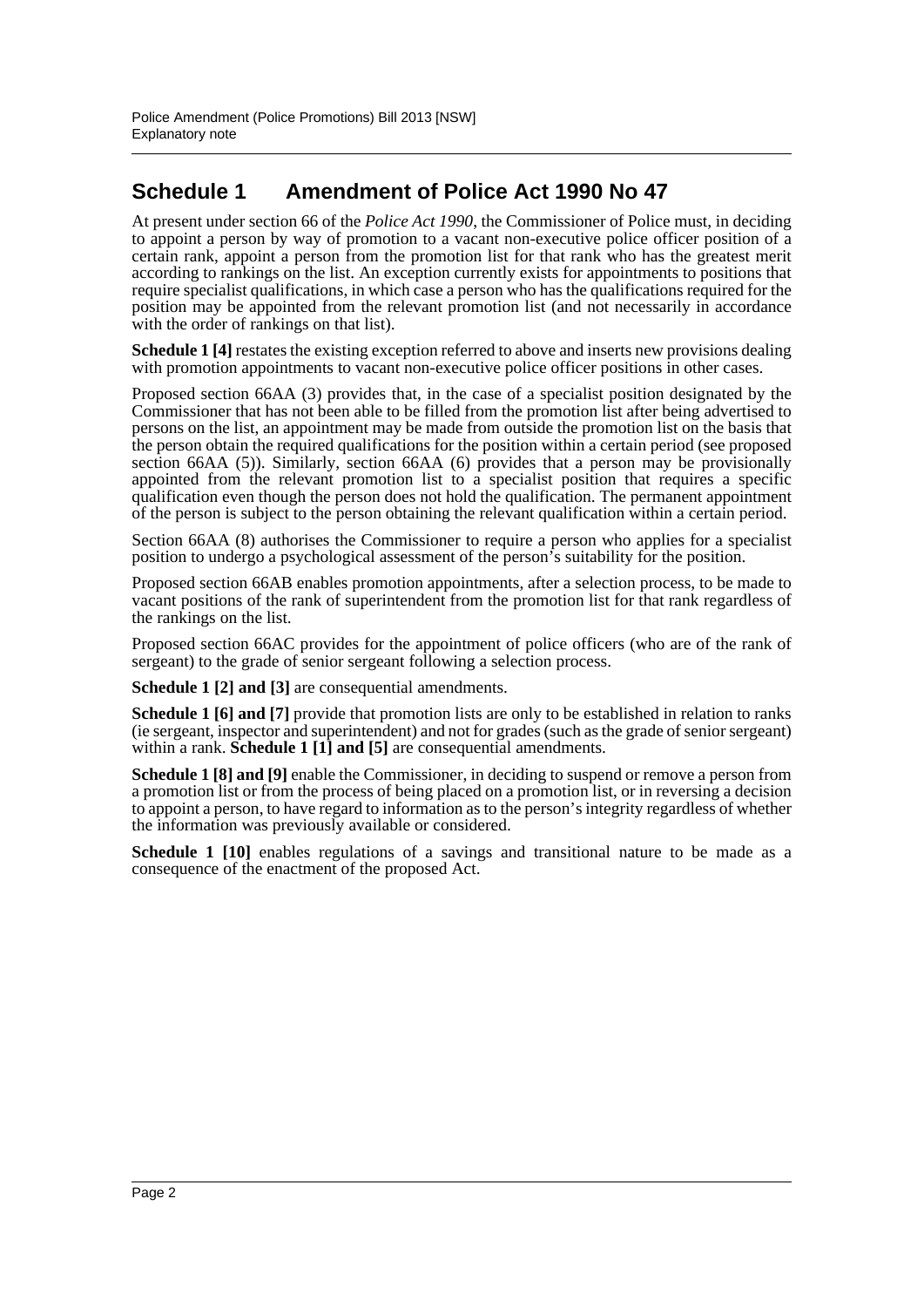### **Schedule 1 Amendment of Police Act 1990 No 47**

At present under section 66 of the *Police Act 1990*, the Commissioner of Police must, in deciding to appoint a person by way of promotion to a vacant non-executive police officer position of a certain rank, appoint a person from the promotion list for that rank who has the greatest merit according to rankings on the list. An exception currently exists for appointments to positions that require specialist qualifications, in which case a person who has the qualifications required for the position may be appointed from the relevant promotion list (and not necessarily in accordance with the order of rankings on that list).

**Schedule 1** [4] restates the existing exception referred to above and inserts new provisions dealing with promotion appointments to vacant non-executive police officer positions in other cases.

Proposed section 66AA (3) provides that, in the case of a specialist position designated by the Commissioner that has not been able to be filled from the promotion list after being advertised to persons on the list, an appointment may be made from outside the promotion list on the basis that the person obtain the required qualifications for the position within a certain period (see proposed section 66AA (5)). Similarly, section 66AA (6) provides that a person may be provisionally appointed from the relevant promotion list to a specialist position that requires a specific qualification even though the person does not hold the qualification. The permanent appointment of the person is subject to the person obtaining the relevant qualification within a certain period.

Section 66AA (8) authorises the Commissioner to require a person who applies for a specialist position to undergo a psychological assessment of the person's suitability for the position.

Proposed section 66AB enables promotion appointments, after a selection process, to be made to vacant positions of the rank of superintendent from the promotion list for that rank regardless of the rankings on the list.

Proposed section 66AC provides for the appointment of police officers (who are of the rank of sergeant) to the grade of senior sergeant following a selection process.

**Schedule 1 [2] and [3]** are consequential amendments.

**Schedule 1 [6] and [7]** provide that promotion lists are only to be established in relation to ranks (ie sergeant, inspector and superintendent) and not for grades (such as the grade of senior sergeant) within a rank. **Schedule 1 [1] and [5]** are consequential amendments.

**Schedule 1 [8] and [9]** enable the Commissioner, in deciding to suspend or remove a person from a promotion list or from the process of being placed on a promotion list, or in reversing a decision to appoint a person, to have regard to information as to the person's integrity regardless of whether the information was previously available or considered.

**Schedule 1 [10]** enables regulations of a savings and transitional nature to be made as a consequence of the enactment of the proposed Act.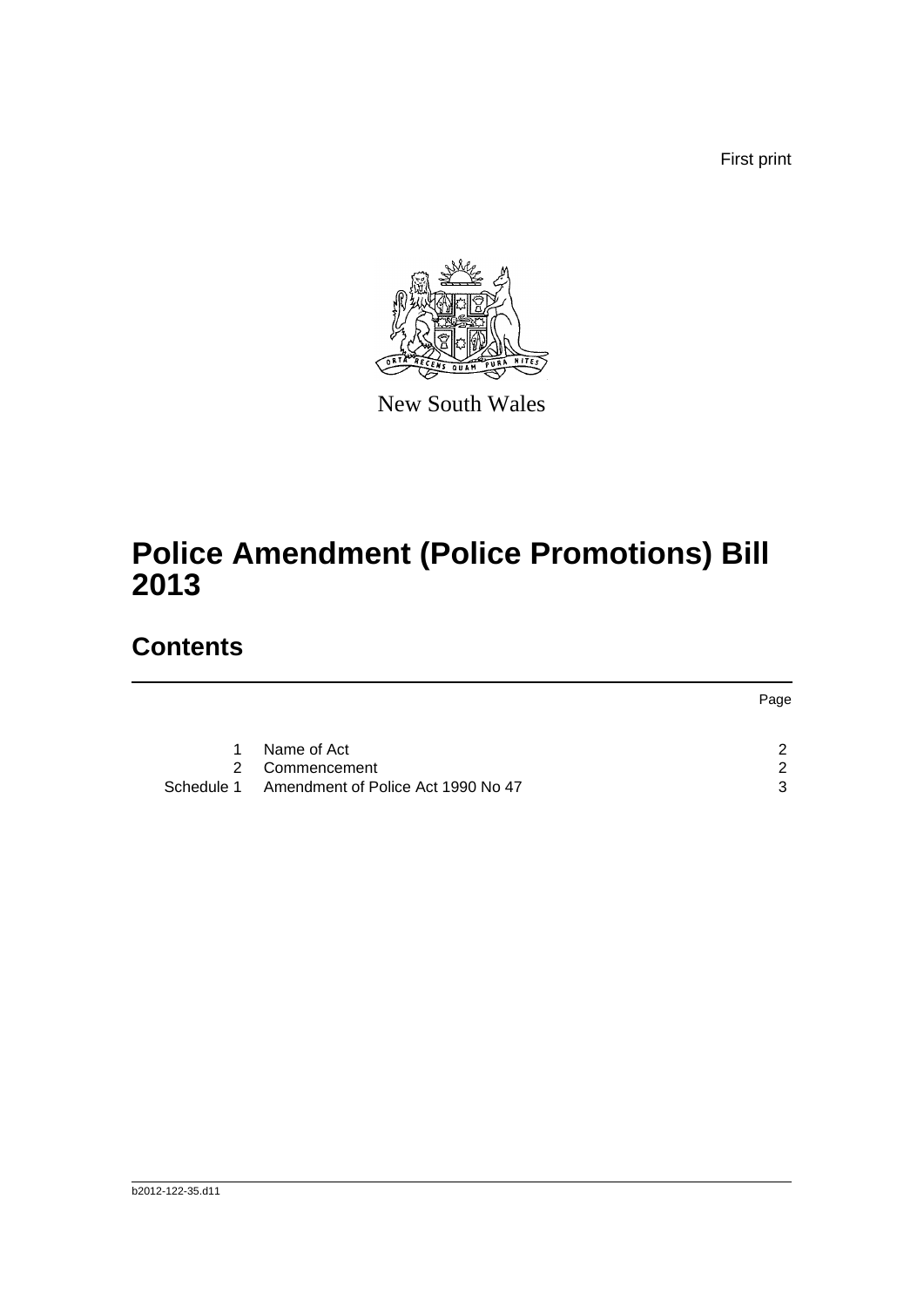First print



New South Wales

# **Police Amendment (Police Promotions) Bill 2013**

## **Contents**

|            |                                    | Page |
|------------|------------------------------------|------|
| 1          | Name of Act                        |      |
|            | 2 Commencement                     | - 2  |
| Schedule 1 | Amendment of Police Act 1990 No 47 | ર    |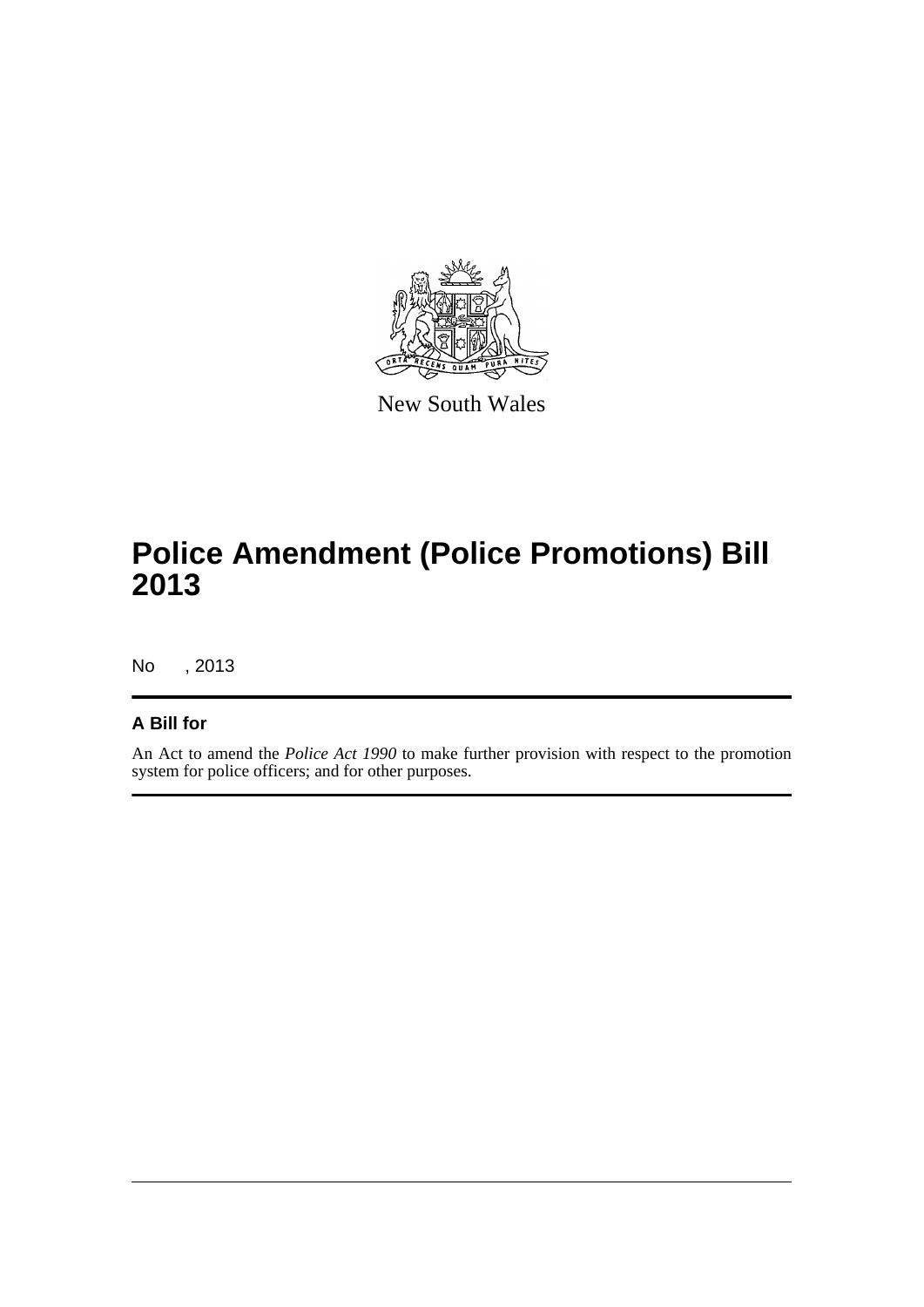

New South Wales

# **Police Amendment (Police Promotions) Bill 2013**

No , 2013

#### **A Bill for**

An Act to amend the *Police Act 1990* to make further provision with respect to the promotion system for police officers; and for other purposes.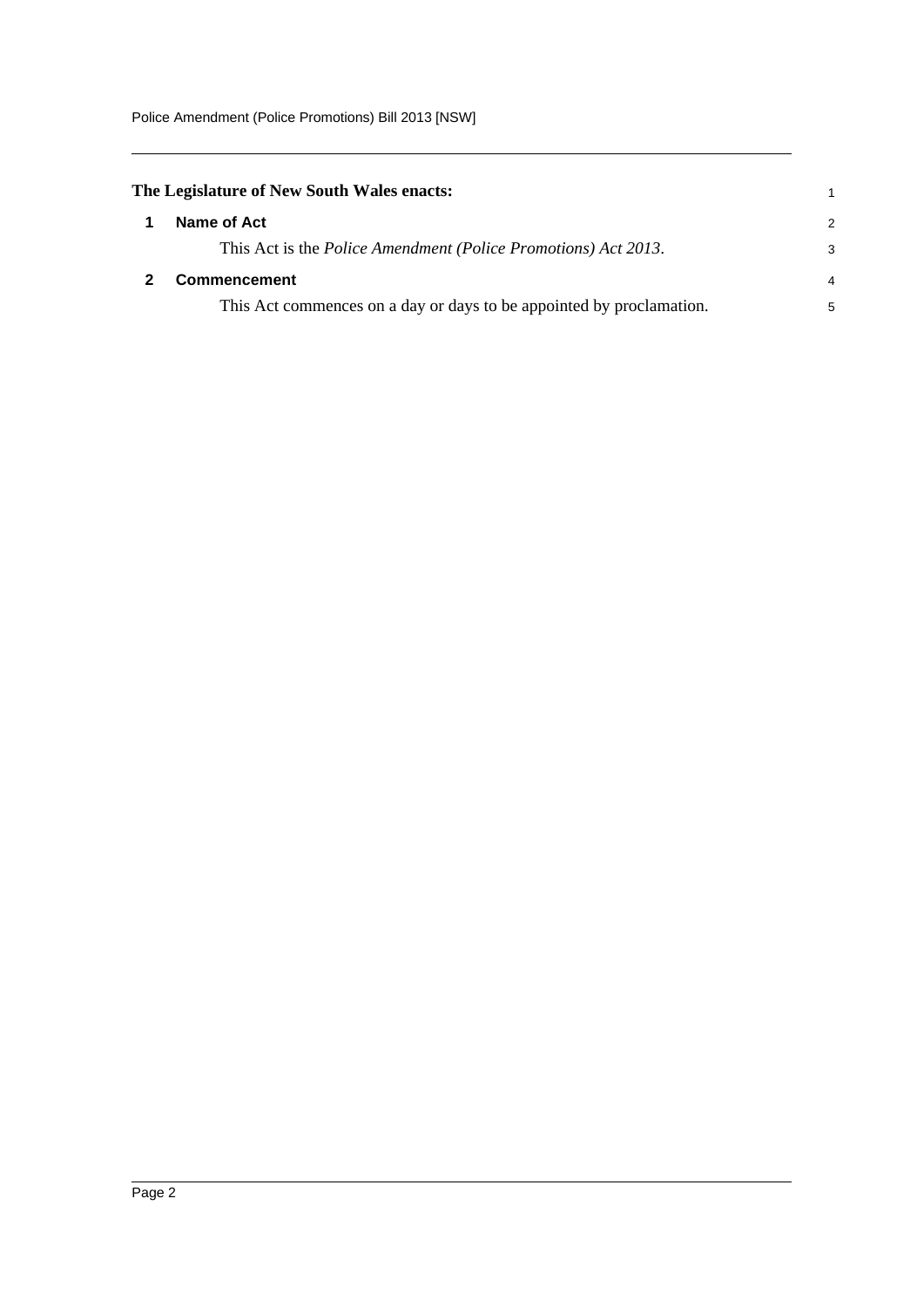<span id="page-4-1"></span><span id="page-4-0"></span>

| The Legislature of New South Wales enacts:                                     |               |
|--------------------------------------------------------------------------------|---------------|
| Name of Act                                                                    | $\mathcal{P}$ |
| This Act is the <i>Police Amendment</i> ( <i>Police Promotions</i> ) Act 2013. | 3             |
| <b>Commencement</b>                                                            | 4             |
| This Act commences on a day or days to be appointed by proclamation.           | 5             |
|                                                                                |               |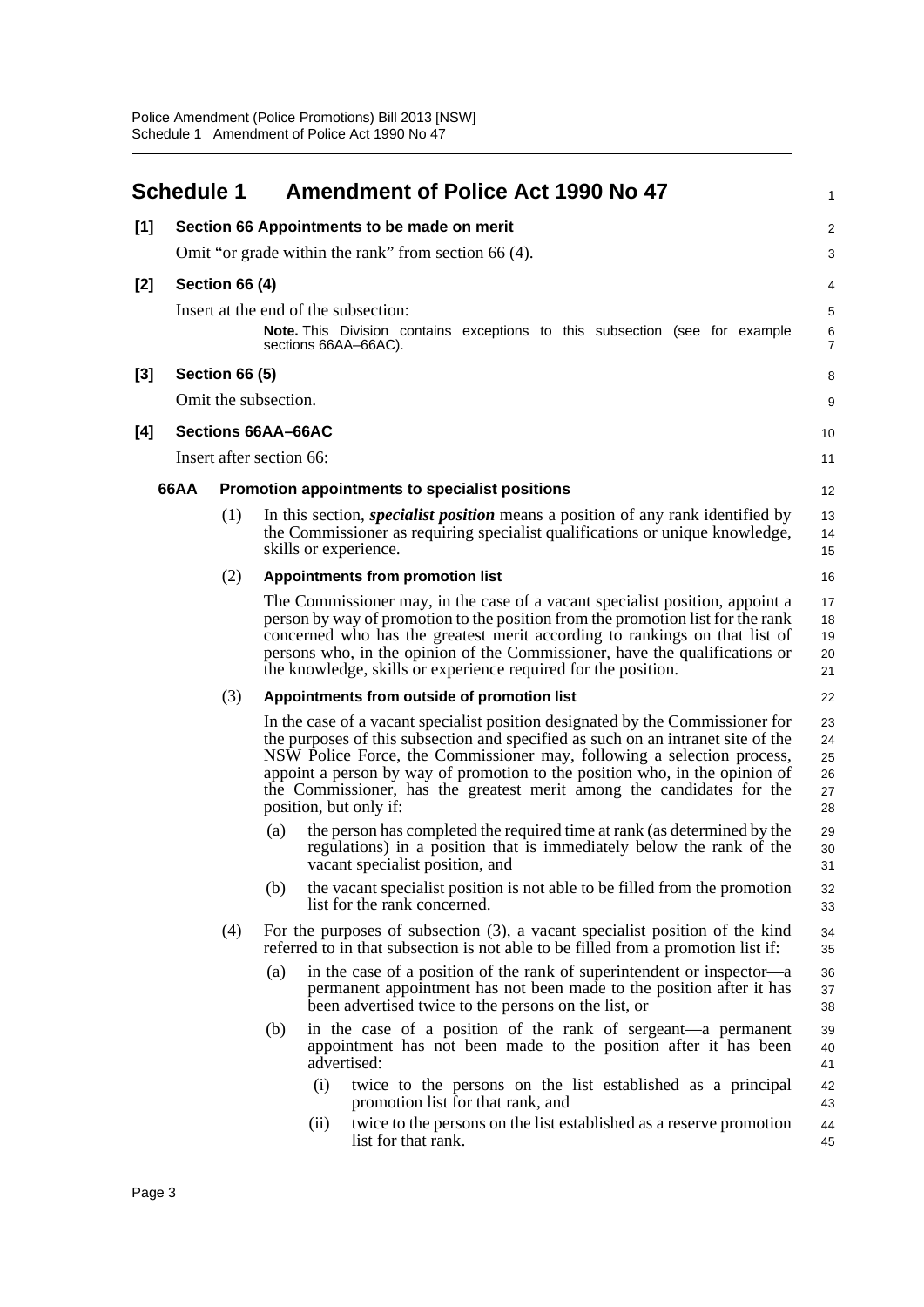<span id="page-5-0"></span>

|       | <b>Schedule 1</b>         |                       | <b>Amendment of Police Act 1990 No 47</b>                                                                                                                                                                                                                                                                                                                                                                                      | 1                                |
|-------|---------------------------|-----------------------|--------------------------------------------------------------------------------------------------------------------------------------------------------------------------------------------------------------------------------------------------------------------------------------------------------------------------------------------------------------------------------------------------------------------------------|----------------------------------|
| [1]   |                           |                       | Section 66 Appointments to be made on merit                                                                                                                                                                                                                                                                                                                                                                                    | $\overline{c}$                   |
|       |                           |                       | Omit "or grade within the rank" from section 66 (4).                                                                                                                                                                                                                                                                                                                                                                           | 3                                |
| $[2]$ |                           | Section 66 (4)        |                                                                                                                                                                                                                                                                                                                                                                                                                                | 4                                |
|       |                           |                       | Insert at the end of the subsection:<br>Note. This Division contains exceptions to this subsection (see for example<br>sections 66AA-66AC).                                                                                                                                                                                                                                                                                    | 5<br>6<br>$\overline{7}$         |
| $[3]$ |                           | <b>Section 66 (5)</b> |                                                                                                                                                                                                                                                                                                                                                                                                                                | 8                                |
|       |                           |                       | Omit the subsection.                                                                                                                                                                                                                                                                                                                                                                                                           | 9                                |
| [4]   | <b>Sections 66AA-66AC</b> |                       |                                                                                                                                                                                                                                                                                                                                                                                                                                | 10                               |
|       |                           |                       | Insert after section 66:                                                                                                                                                                                                                                                                                                                                                                                                       | 11                               |
|       | 66AA                      |                       | Promotion appointments to specialist positions                                                                                                                                                                                                                                                                                                                                                                                 | 12                               |
|       |                           | (1)                   | In this section, <i>specialist position</i> means a position of any rank identified by<br>the Commissioner as requiring specialist qualifications or unique knowledge,<br>skills or experience.                                                                                                                                                                                                                                | 13<br>14<br>15                   |
|       |                           | (2)                   | <b>Appointments from promotion list</b>                                                                                                                                                                                                                                                                                                                                                                                        | 16                               |
|       |                           |                       | The Commissioner may, in the case of a vacant specialist position, appoint a<br>person by way of promotion to the position from the promotion list for the rank<br>concerned who has the greatest merit according to rankings on that list of<br>persons who, in the opinion of the Commissioner, have the qualifications or<br>the knowledge, skills or experience required for the position.                                 | 17<br>18<br>19<br>20<br>21       |
|       |                           | (3)                   | Appointments from outside of promotion list                                                                                                                                                                                                                                                                                                                                                                                    | 22                               |
|       |                           |                       | In the case of a vacant specialist position designated by the Commissioner for<br>the purposes of this subsection and specified as such on an intranet site of the<br>NSW Police Force, the Commissioner may, following a selection process,<br>appoint a person by way of promotion to the position who, in the opinion of<br>the Commissioner, has the greatest merit among the candidates for the<br>position, but only if: | 23<br>24<br>25<br>26<br>27<br>28 |
|       |                           |                       | the person has completed the required time at rank (as determined by the<br>(a)<br>regulations) in a position that is immediately below the rank of the<br>vacant specialist position, and                                                                                                                                                                                                                                     | 29<br>30<br>31                   |
|       |                           |                       | the vacant specialist position is not able to be filled from the promotion<br>(b)<br>list for the rank concerned.                                                                                                                                                                                                                                                                                                              | 32<br>33                         |
|       |                           | (4)                   | For the purposes of subsection $(3)$ , a vacant specialist position of the kind<br>referred to in that subsection is not able to be filled from a promotion list if:                                                                                                                                                                                                                                                           | 34<br>35                         |
|       |                           |                       | in the case of a position of the rank of superintendent or inspector—a<br>(a)<br>permanent appointment has not been made to the position after it has<br>been advertised twice to the persons on the list, or                                                                                                                                                                                                                  | 36<br>37<br>38                   |
|       |                           |                       | in the case of a position of the rank of sergeant—a permanent<br>(b)<br>appointment has not been made to the position after it has been<br>advertised:                                                                                                                                                                                                                                                                         | 39<br>40<br>41                   |
|       |                           |                       | (i)<br>twice to the persons on the list established as a principal<br>promotion list for that rank, and                                                                                                                                                                                                                                                                                                                        | 42<br>43                         |
|       |                           |                       | twice to the persons on the list established as a reserve promotion<br>(ii)<br>list for that rank.                                                                                                                                                                                                                                                                                                                             | 44<br>45                         |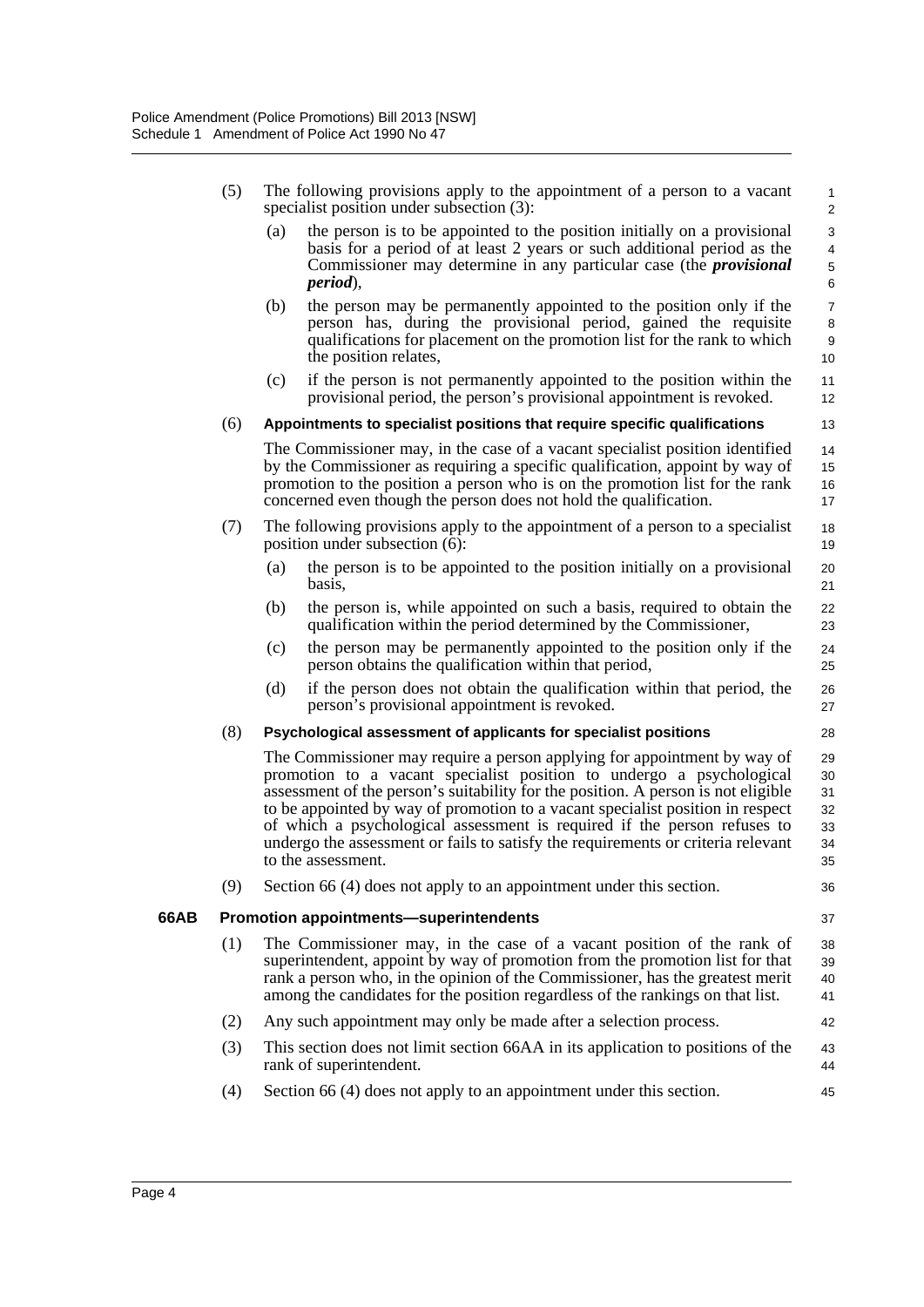|      | (5) | The following provisions apply to the appointment of a person to a vacant<br>specialist position under subsection (3):                                                                                                                                                                                                                                                                                                                                                                                                                                  | $\mathbf{1}$<br>$\overline{2}$ |
|------|-----|---------------------------------------------------------------------------------------------------------------------------------------------------------------------------------------------------------------------------------------------------------------------------------------------------------------------------------------------------------------------------------------------------------------------------------------------------------------------------------------------------------------------------------------------------------|--------------------------------|
|      |     | the person is to be appointed to the position initially on a provisional<br>(a)<br>basis for a period of at least 2 years or such additional period as the<br>Commissioner may determine in any particular case (the <i>provisional</i><br><i>period</i> ),                                                                                                                                                                                                                                                                                             | 3<br>4<br>5<br>6               |
|      |     | (b)<br>the person may be permanently appointed to the position only if the<br>person has, during the provisional period, gained the requisite<br>qualifications for placement on the promotion list for the rank to which<br>the position relates,<br>10                                                                                                                                                                                                                                                                                                | $\overline{7}$<br>8<br>9       |
|      |     | if the person is not permanently appointed to the position within the<br>(c)<br>11<br>provisional period, the person's provisional appointment is revoked.<br>12                                                                                                                                                                                                                                                                                                                                                                                        |                                |
|      | (6) | Appointments to specialist positions that require specific qualifications<br>13                                                                                                                                                                                                                                                                                                                                                                                                                                                                         |                                |
|      |     | The Commissioner may, in the case of a vacant specialist position identified<br>14<br>by the Commissioner as requiring a specific qualification, appoint by way of<br>15<br>promotion to the position a person who is on the promotion list for the rank<br>16<br>concerned even though the person does not hold the qualification.<br>17                                                                                                                                                                                                               |                                |
|      | (7) | The following provisions apply to the appointment of a person to a specialist<br>18<br>position under subsection (6):<br>19                                                                                                                                                                                                                                                                                                                                                                                                                             |                                |
|      |     | the person is to be appointed to the position initially on a provisional<br>(a)<br>20<br>basis,<br>21                                                                                                                                                                                                                                                                                                                                                                                                                                                   |                                |
|      |     | the person is, while appointed on such a basis, required to obtain the<br>(b)<br>22<br>qualification within the period determined by the Commissioner,<br>23                                                                                                                                                                                                                                                                                                                                                                                            |                                |
|      |     | (c)<br>the person may be permanently appointed to the position only if the<br>24<br>person obtains the qualification within that period,<br>25                                                                                                                                                                                                                                                                                                                                                                                                          |                                |
|      |     | (d)<br>if the person does not obtain the qualification within that period, the<br>26<br>person's provisional appointment is revoked.<br>27                                                                                                                                                                                                                                                                                                                                                                                                              |                                |
|      | (8) | Psychological assessment of applicants for specialist positions<br>28                                                                                                                                                                                                                                                                                                                                                                                                                                                                                   |                                |
|      |     | The Commissioner may require a person applying for appointment by way of<br>29<br>promotion to a vacant specialist position to undergo a psychological<br>30<br>assessment of the person's suitability for the position. A person is not eligible<br>31<br>to be appointed by way of promotion to a vacant specialist position in respect<br>32<br>of which a psychological assessment is required if the person refuses to<br>33<br>undergo the assessment or fails to satisfy the requirements or criteria relevant<br>34<br>to the assessment.<br>35 |                                |
|      | (9) | Section 66 (4) does not apply to an appointment under this section.<br>36                                                                                                                                                                                                                                                                                                                                                                                                                                                                               |                                |
| 66AB |     | Promotion appointments-superintendents<br>37                                                                                                                                                                                                                                                                                                                                                                                                                                                                                                            |                                |
|      | (1) | The Commissioner may, in the case of a vacant position of the rank of<br>38<br>superintendent, appoint by way of promotion from the promotion list for that<br>39<br>rank a person who, in the opinion of the Commissioner, has the greatest merit<br>40<br>among the candidates for the position regardless of the rankings on that list.<br>41                                                                                                                                                                                                        |                                |
|      | (2) | Any such appointment may only be made after a selection process.<br>42                                                                                                                                                                                                                                                                                                                                                                                                                                                                                  |                                |
|      | (3) | This section does not limit section 66AA in its application to positions of the<br>43<br>rank of superintendent.<br>44                                                                                                                                                                                                                                                                                                                                                                                                                                  |                                |
|      | (4) | Section 66 (4) does not apply to an appointment under this section.<br>45                                                                                                                                                                                                                                                                                                                                                                                                                                                                               |                                |